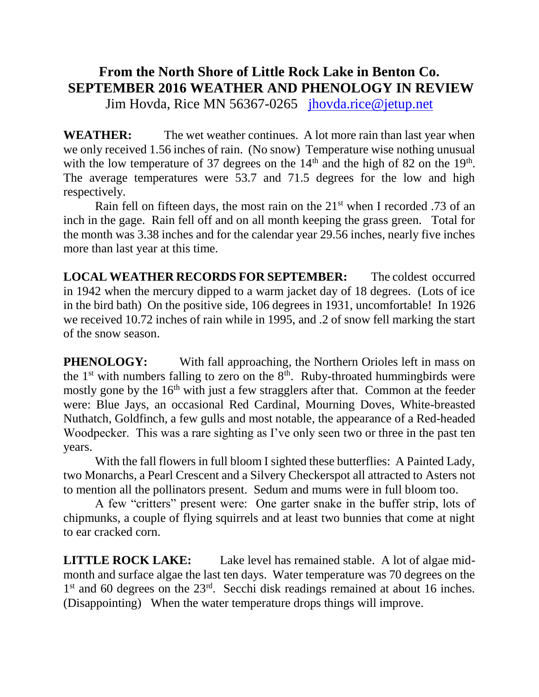## **From the North Shore of Little Rock Lake in Benton Co. SEPTEMBER 2016 WEATHER AND PHENOLOGY IN REVIEW**

Jim Hovda, Rice MN 56367-0265 [jhovda.rice@jetup.net](mailto:jhovda.rice@jetup.net)

**WEATHER:** The wet weather continues. A lot more rain than last year when we only received 1.56 inches of rain. (No snow) Temperature wise nothing unusual with the low temperature of 37 degrees on the  $14<sup>th</sup>$  and the high of 82 on the  $19<sup>th</sup>$ . The average temperatures were 53.7 and 71.5 degrees for the low and high respectively.

Rain fell on fifteen days, the most rain on the  $21<sup>st</sup>$  when I recorded .73 of an inch in the gage. Rain fell off and on all month keeping the grass green. Total for the month was 3.38 inches and for the calendar year 29.56 inches, nearly five inches more than last year at this time.

**LOCAL WEATHER RECORDS FOR SEPTEMBER:** The coldest occurred in 1942 when the mercury dipped to a warm jacket day of 18 degrees. (Lots of ice in the bird bath) On the positive side, 106 degrees in 1931, uncomfortable! In 1926 we received 10.72 inches of rain while in 1995, and .2 of snow fell marking the start of the snow season.

**PHENOLOGY:** With fall approaching, the Northern Orioles left in mass on the  $1<sup>st</sup>$  with numbers falling to zero on the  $8<sup>th</sup>$ . Ruby-throated hummingbirds were mostly gone by the 16<sup>th</sup> with just a few stragglers after that. Common at the feeder were: Blue Jays, an occasional Red Cardinal, Mourning Doves, White-breasted Nuthatch, Goldfinch, a few gulls and most notable, the appearance of a Red-headed Woodpecker. This was a rare sighting as I've only seen two or three in the past ten years.

With the fall flowers in full bloom I sighted these butterflies: A Painted Lady, two Monarchs, a Pearl Crescent and a Silvery Checkerspot all attracted to Asters not to mention all the pollinators present. Sedum and mums were in full bloom too.

A few "critters" present were: One garter snake in the buffer strip, lots of chipmunks, a couple of flying squirrels and at least two bunnies that come at night to ear cracked corn.

**LITTLE ROCK LAKE:** Lake level has remained stable. A lot of algae midmonth and surface algae the last ten days. Water temperature was 70 degrees on the 1<sup>st</sup> and 60 degrees on the 23<sup>rd</sup>. Secchi disk readings remained at about 16 inches. (Disappointing) When the water temperature drops things will improve.